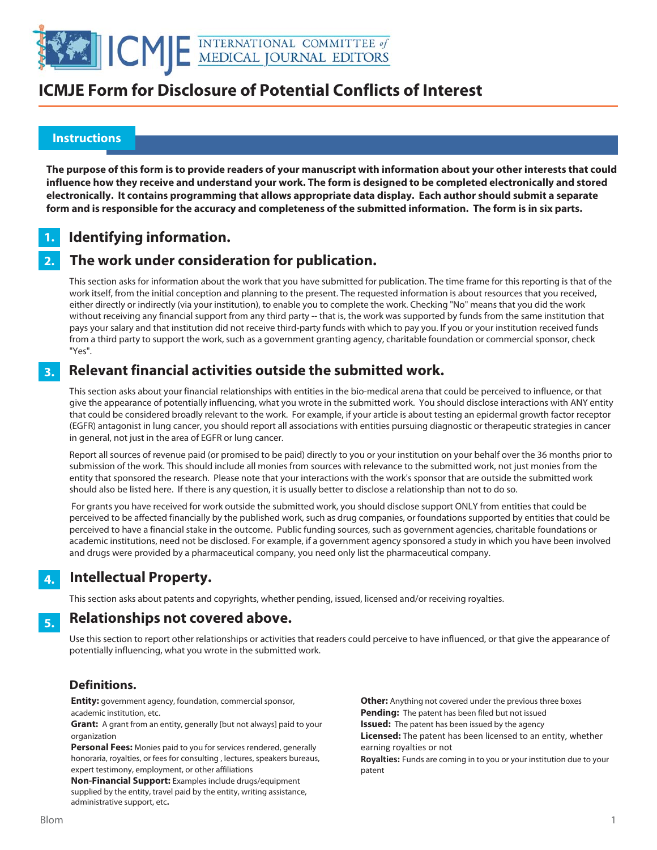

### **Instructions**

 

> **The purpose of this form is to provide readers of your manuscript with information about your other interests that could influence how they receive and understand your work. The form is designed to be completed electronically and stored electronically. It contains programming that allows appropriate data display. Each author should submit a separate form and is responsible for the accuracy and completeness of the submitted information. The form is in six parts.**

#### **Identifying information. 1.**

#### **The work under consideration for publication. 2.**

This section asks for information about the work that you have submitted for publication. The time frame for this reporting is that of the work itself, from the initial conception and planning to the present. The requested information is about resources that you received, either directly or indirectly (via your institution), to enable you to complete the work. Checking "No" means that you did the work without receiving any financial support from any third party -- that is, the work was supported by funds from the same institution that pays your salary and that institution did not receive third-party funds with which to pay you. If you or your institution received funds from a third party to support the work, such as a government granting agency, charitable foundation or commercial sponsor, check "Yes".

#### **Relevant financial activities outside the submitted work. 3.**

This section asks about your financial relationships with entities in the bio-medical arena that could be perceived to influence, or that give the appearance of potentially influencing, what you wrote in the submitted work. You should disclose interactions with ANY entity that could be considered broadly relevant to the work. For example, if your article is about testing an epidermal growth factor receptor (EGFR) antagonist in lung cancer, you should report all associations with entities pursuing diagnostic or therapeutic strategies in cancer in general, not just in the area of EGFR or lung cancer.

Report all sources of revenue paid (or promised to be paid) directly to you or your institution on your behalf over the 36 months prior to submission of the work. This should include all monies from sources with relevance to the submitted work, not just monies from the entity that sponsored the research. Please note that your interactions with the work's sponsor that are outside the submitted work should also be listed here. If there is any question, it is usually better to disclose a relationship than not to do so.

 For grants you have received for work outside the submitted work, you should disclose support ONLY from entities that could be perceived to be affected financially by the published work, such as drug companies, or foundations supported by entities that could be perceived to have a financial stake in the outcome. Public funding sources, such as government agencies, charitable foundations or academic institutions, need not be disclosed. For example, if a government agency sponsored a study in which you have been involved and drugs were provided by a pharmaceutical company, you need only list the pharmaceutical company.

#### **Intellectual Property. 4.**

This section asks about patents and copyrights, whether pending, issued, licensed and/or receiving royalties.

#### **Relationships not covered above. 5.**

Use this section to report other relationships or activities that readers could perceive to have influenced, or that give the appearance of potentially influencing, what you wrote in the submitted work.

### **Definitions.**

**Entity:** government agency, foundation, commercial sponsor, academic institution, etc.

**Grant:** A grant from an entity, generally [but not always] paid to your organization

**Personal Fees:** Monies paid to you for services rendered, generally honoraria, royalties, or fees for consulting , lectures, speakers bureaus, expert testimony, employment, or other affiliations

**Non-Financial Support:** Examples include drugs/equipment supplied by the entity, travel paid by the entity, writing assistance, administrative support, etc**.**

**Other:** Anything not covered under the previous three boxes **Pending:** The patent has been filed but not issued **Issued:** The patent has been issued by the agency **Licensed:** The patent has been licensed to an entity, whether earning royalties or not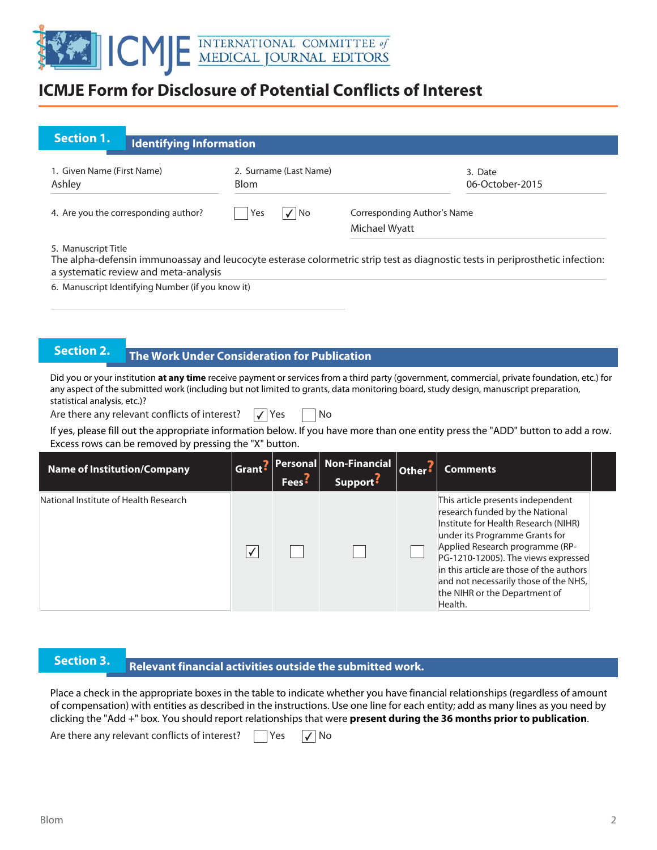

| <b>Section 1.</b>                    | <b>Identifying Information</b>       |             |                        |                                              |                            |  |  |
|--------------------------------------|--------------------------------------|-------------|------------------------|----------------------------------------------|----------------------------|--|--|
| 1. Given Name (First Name)<br>Ashley |                                      | <b>Blom</b> | 2. Surname (Last Name) |                                              | 3. Date<br>06-October-2015 |  |  |
|                                      | 4. Are you the corresponding author? | Yes         | √No                    | Corresponding Author's Name<br>Michael Wyatt |                            |  |  |
| 5. Manuscript Title                  |                                      |             |                        |                                              |                            |  |  |

The alpha-defensin immunoassay and leucocyte esterase colormetric strip test as diagnostic tests in periprosthetic infection: a systematic review and meta-analysis

6. Manuscript Identifying Number (if you know it)

### **The Work Under Consideration for Publication**

Did you or your institution **at any time** receive payment or services from a third party (government, commercial, private foundation, etc.) for any aspect of the submitted work (including but not limited to grants, data monitoring board, study design, manuscript preparation, statistical analysis, etc.)?

Are there any relevant conflicts of interest?  $\sqrt{\ }$  Yes  $\Box$  No

If yes, please fill out the appropriate information below. If you have more than one entity press the "ADD" button to add a row. Excess rows can be removed by pressing the "X" button.

| <b>Name of Institution/Company</b>    | Grant? | <b>Fees</b> : | Personal Non-Financial<br>Support <sup>3</sup> | Other <sup>:</sup> | <b>Comments</b>                                                                                                                                                                                                                                                                                                                                           |  |
|---------------------------------------|--------|---------------|------------------------------------------------|--------------------|-----------------------------------------------------------------------------------------------------------------------------------------------------------------------------------------------------------------------------------------------------------------------------------------------------------------------------------------------------------|--|
| National Institute of Health Research |        |               |                                                |                    | This article presents independent<br>research funded by the National<br>Institute for Health Research (NIHR)<br>under its Programme Grants for<br>Applied Research programme (RP-<br>PG-1210-12005). The views expressed<br>in this article are those of the authors<br>and not necessarily those of the NHS,<br>the NIHR or the Department of<br>Health. |  |

## **Relevant financial activities outside the submitted work. Section 3. Relevant financial activities outset**

Place a check in the appropriate boxes in the table to indicate whether you have financial relationships (regardless of amount of compensation) with entities as described in the instructions. Use one line for each entity; add as many lines as you need by clicking the "Add +" box. You should report relationships that were **present during the 36 months prior to publication**.

Are there any relevant conflicts of interest?  $\Box$  Yes  $\Box$  No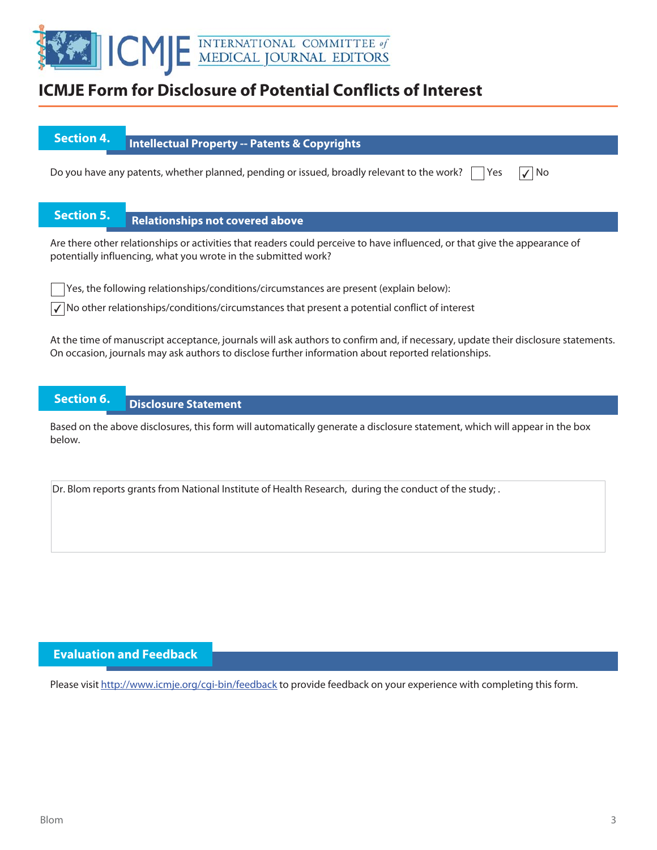

## **Intellectual Property -- Patents & Copyrights**

Do you have any patents, whether planned, pending or issued, broadly relevant to the work?  $\vert \ \vert$  Yes  $\vert \ \vert$  No

### **Section 5.** Relationships not covered above

Are there other relationships or activities that readers could perceive to have influenced, or that give the appearance of potentially influencing, what you wrote in the submitted work?

Yes, the following relationships/conditions/circumstances are present (explain below):

 $\sqrt{\frac{1}{\sqrt{\pi}}}$  No other relationships/conditions/circumstances that present a potential conflict of interest

At the time of manuscript acceptance, journals will ask authors to confirm and, if necessary, update their disclosure statements. On occasion, journals may ask authors to disclose further information about reported relationships.

### **Section 6. Disclosure Statement**

Based on the above disclosures, this form will automatically generate a disclosure statement, which will appear in the box below.

Dr. Blom reports grants from National Institute of Health Research, during the conduct of the study; .

### **Evaluation and Feedback**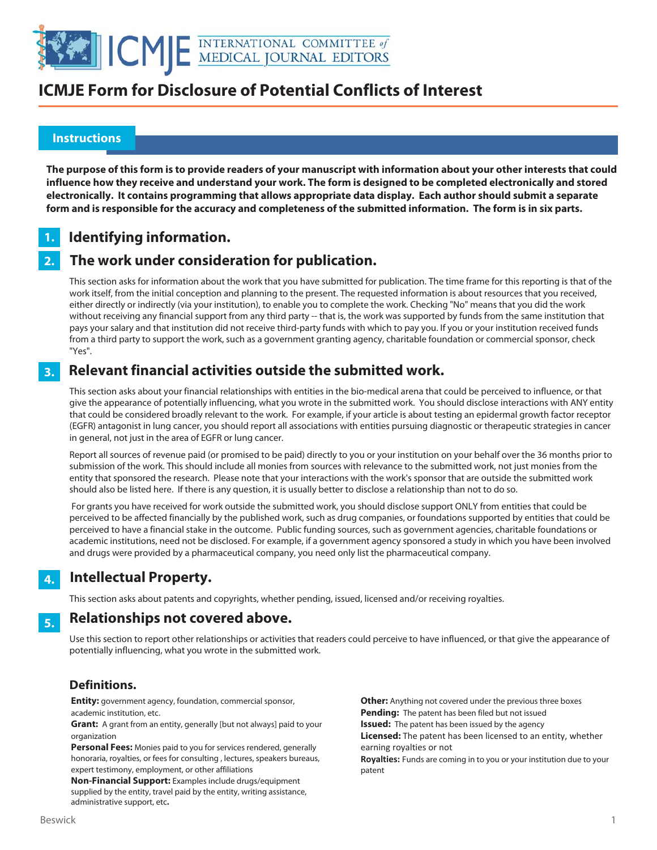

### **Instructions**

 

> **The purpose of this form is to provide readers of your manuscript with information about your other interests that could influence how they receive and understand your work. The form is designed to be completed electronically and stored electronically. It contains programming that allows appropriate data display. Each author should submit a separate form and is responsible for the accuracy and completeness of the submitted information. The form is in six parts.**

#### **Identifying information. 1.**

#### **The work under consideration for publication. 2.**

This section asks for information about the work that you have submitted for publication. The time frame for this reporting is that of the work itself, from the initial conception and planning to the present. The requested information is about resources that you received, either directly or indirectly (via your institution), to enable you to complete the work. Checking "No" means that you did the work without receiving any financial support from any third party -- that is, the work was supported by funds from the same institution that pays your salary and that institution did not receive third-party funds with which to pay you. If you or your institution received funds from a third party to support the work, such as a government granting agency, charitable foundation or commercial sponsor, check "Yes".

#### **Relevant financial activities outside the submitted work. 3.**

This section asks about your financial relationships with entities in the bio-medical arena that could be perceived to influence, or that give the appearance of potentially influencing, what you wrote in the submitted work. You should disclose interactions with ANY entity that could be considered broadly relevant to the work. For example, if your article is about testing an epidermal growth factor receptor (EGFR) antagonist in lung cancer, you should report all associations with entities pursuing diagnostic or therapeutic strategies in cancer in general, not just in the area of EGFR or lung cancer.

Report all sources of revenue paid (or promised to be paid) directly to you or your institution on your behalf over the 36 months prior to submission of the work. This should include all monies from sources with relevance to the submitted work, not just monies from the entity that sponsored the research. Please note that your interactions with the work's sponsor that are outside the submitted work should also be listed here. If there is any question, it is usually better to disclose a relationship than not to do so.

 For grants you have received for work outside the submitted work, you should disclose support ONLY from entities that could be perceived to be affected financially by the published work, such as drug companies, or foundations supported by entities that could be perceived to have a financial stake in the outcome. Public funding sources, such as government agencies, charitable foundations or academic institutions, need not be disclosed. For example, if a government agency sponsored a study in which you have been involved and drugs were provided by a pharmaceutical company, you need only list the pharmaceutical company.

#### **Intellectual Property. 4.**

This section asks about patents and copyrights, whether pending, issued, licensed and/or receiving royalties.

#### **Relationships not covered above. 5.**

Use this section to report other relationships or activities that readers could perceive to have influenced, or that give the appearance of potentially influencing, what you wrote in the submitted work.

### **Definitions.**

**Entity:** government agency, foundation, commercial sponsor, academic institution, etc.

**Grant:** A grant from an entity, generally [but not always] paid to your organization

**Personal Fees:** Monies paid to you for services rendered, generally honoraria, royalties, or fees for consulting , lectures, speakers bureaus, expert testimony, employment, or other affiliations

**Non-Financial Support:** Examples include drugs/equipment supplied by the entity, travel paid by the entity, writing assistance, administrative support, etc**.**

**Other:** Anything not covered under the previous three boxes **Pending:** The patent has been filed but not issued **Issued:** The patent has been issued by the agency **Licensed:** The patent has been licensed to an entity, whether earning royalties or not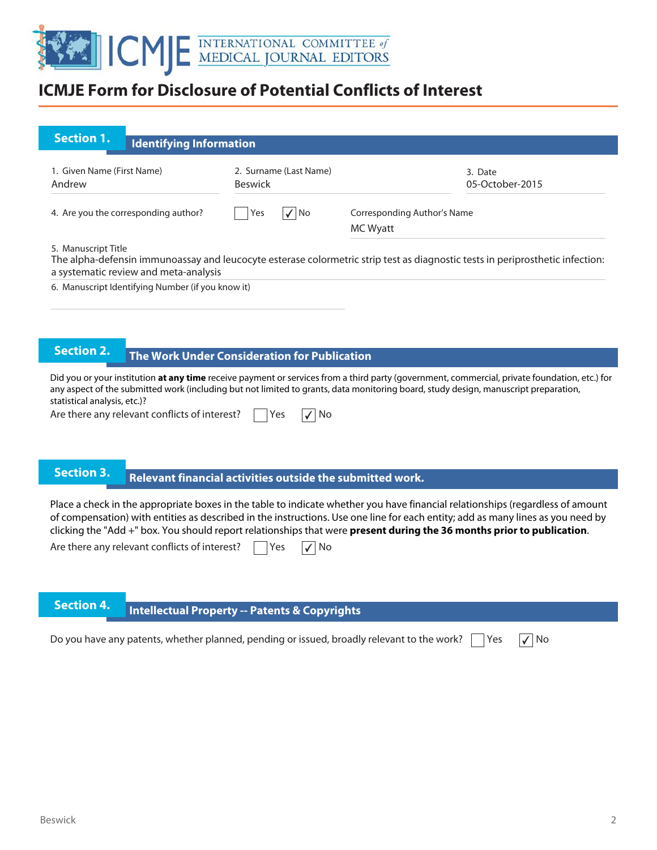

| <b>Section 1.</b><br><b>Identifying Information</b>            |                                          |                                                                                                                               |  |
|----------------------------------------------------------------|------------------------------------------|-------------------------------------------------------------------------------------------------------------------------------|--|
| 1. Given Name (First Name)<br>Andrew                           | 2. Surname (Last Name)<br><b>Beswick</b> | 3. Date<br>05-October-2015                                                                                                    |  |
| 4. Are you the corresponding author?<br>$\sqrt{ N_{0}}$<br>Yes |                                          | Corresponding Author's Name<br><b>MC Wyatt</b>                                                                                |  |
| 5. Manuscript Title<br>a systematic review and meta-analysis   |                                          | The alpha-defensin immunoassay and leucocyte esterase colormetric strip test as diagnostic tests in periprosthetic infection: |  |
| 6. Manuscript Identifying Number (if you know it)              |                                          |                                                                                                                               |  |

### **The Work Under Consideration for Publication**

Did you or your institution **at any time** receive payment or services from a third party (government, commercial, private foundation, etc.) for any aspect of the submitted work (including but not limited to grants, data monitoring board, study design, manuscript preparation, statistical analysis, etc.)?

Are there any relevant conflicts of interest?  $\Box$  Yes

|  | ۰.<br>× |  |
|--|---------|--|
|--|---------|--|

# **Rection 3.** Relevant financial activities outside the submitted work.

Place a check in the appropriate boxes in the table to indicate whether you have financial relationships (regardless of amount of compensation) with entities as described in the instructions. Use one line for each entity; add as many lines as you need by clicking the "Add +" box. You should report relationships that were **present during the 36 months prior to publication**.

Are there any relevant conflicts of interest?  $\Box$  Yes  $\Box$  No

# **Intellectual Property -- Patents & Copyrights**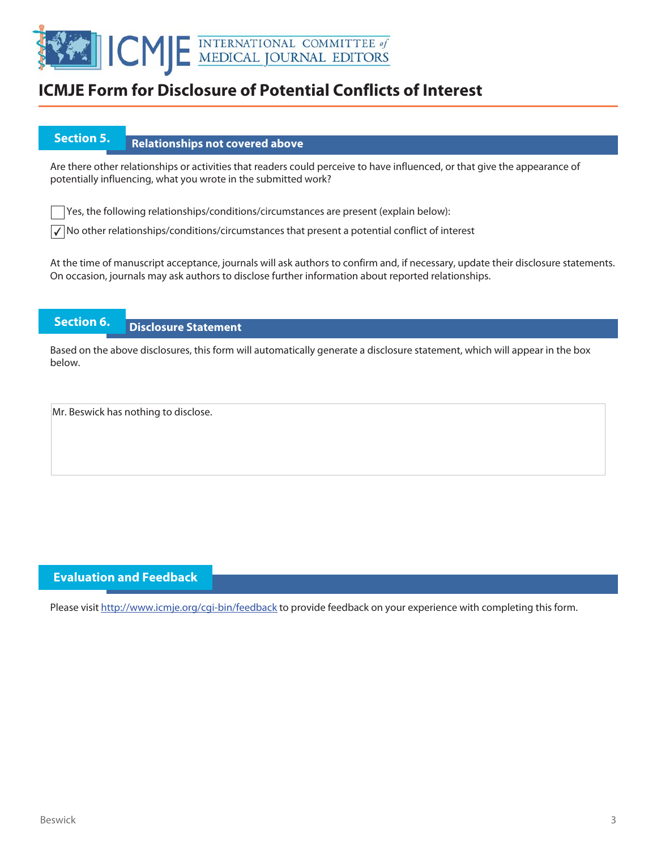

### **Section 5.** Relationships not covered above

Are there other relationships or activities that readers could perceive to have influenced, or that give the appearance of potentially influencing, what you wrote in the submitted work?

Yes, the following relationships/conditions/circumstances are present (explain below):

 $\sqrt{\ }$  No other relationships/conditions/circumstances that present a potential conflict of interest

At the time of manuscript acceptance, journals will ask authors to confirm and, if necessary, update their disclosure statements. On occasion, journals may ask authors to disclose further information about reported relationships.

### **Section 6. Disclosure Statement**

Based on the above disclosures, this form will automatically generate a disclosure statement, which will appear in the box below.

Mr. Beswick has nothing to disclose.

### **Evaluation and Feedback**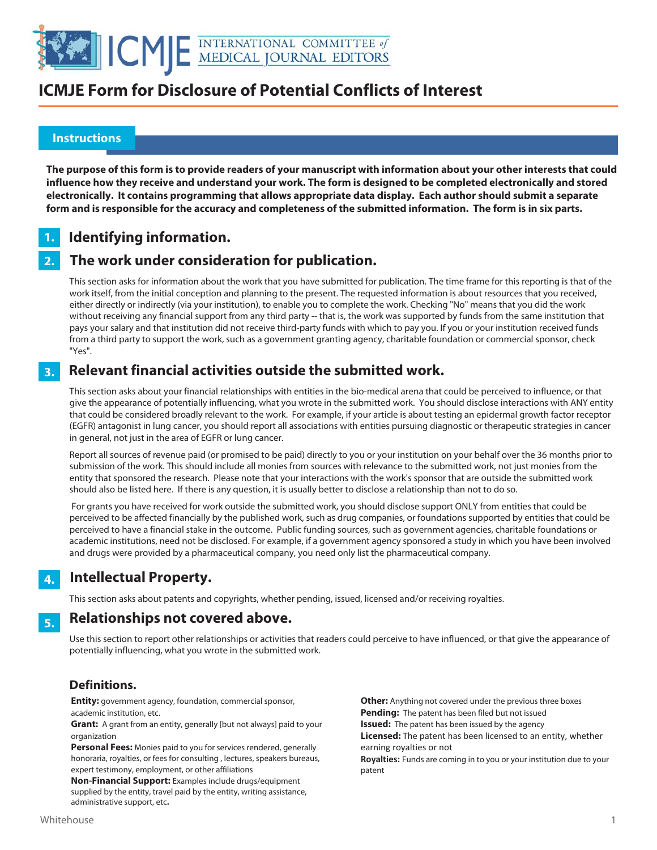

### **Instructions**

 

> **The purpose of this form is to provide readers of your manuscript with information about your other interests that could influence how they receive and understand your work. The form is designed to be completed electronically and stored electronically. It contains programming that allows appropriate data display. Each author should submit a separate form and is responsible for the accuracy and completeness of the submitted information. The form is in six parts.**

#### **Identifying information. 1.**

#### **The work under consideration for publication. 2.**

This section asks for information about the work that you have submitted for publication. The time frame for this reporting is that of the work itself, from the initial conception and planning to the present. The requested information is about resources that you received, either directly or indirectly (via your institution), to enable you to complete the work. Checking "No" means that you did the work without receiving any financial support from any third party -- that is, the work was supported by funds from the same institution that pays your salary and that institution did not receive third-party funds with which to pay you. If you or your institution received funds from a third party to support the work, such as a government granting agency, charitable foundation or commercial sponsor, check "Yes".

#### **Relevant financial activities outside the submitted work. 3.**

This section asks about your financial relationships with entities in the bio-medical arena that could be perceived to influence, or that give the appearance of potentially influencing, what you wrote in the submitted work. You should disclose interactions with ANY entity that could be considered broadly relevant to the work. For example, if your article is about testing an epidermal growth factor receptor (EGFR) antagonist in lung cancer, you should report all associations with entities pursuing diagnostic or therapeutic strategies in cancer in general, not just in the area of EGFR or lung cancer.

Report all sources of revenue paid (or promised to be paid) directly to you or your institution on your behalf over the 36 months prior to submission of the work. This should include all monies from sources with relevance to the submitted work, not just monies from the entity that sponsored the research. Please note that your interactions with the work's sponsor that are outside the submitted work should also be listed here. If there is any question, it is usually better to disclose a relationship than not to do so.

 For grants you have received for work outside the submitted work, you should disclose support ONLY from entities that could be perceived to be affected financially by the published work, such as drug companies, or foundations supported by entities that could be perceived to have a financial stake in the outcome. Public funding sources, such as government agencies, charitable foundations or academic institutions, need not be disclosed. For example, if a government agency sponsored a study in which you have been involved and drugs were provided by a pharmaceutical company, you need only list the pharmaceutical company.

#### **Intellectual Property. 4.**

This section asks about patents and copyrights, whether pending, issued, licensed and/or receiving royalties.

#### **Relationships not covered above. 5.**

Use this section to report other relationships or activities that readers could perceive to have influenced, or that give the appearance of potentially influencing, what you wrote in the submitted work.

### **Definitions.**

**Entity:** government agency, foundation, commercial sponsor, academic institution, etc.

**Grant:** A grant from an entity, generally [but not always] paid to your organization

**Personal Fees:** Monies paid to you for services rendered, generally honoraria, royalties, or fees for consulting , lectures, speakers bureaus, expert testimony, employment, or other affiliations

**Non-Financial Support:** Examples include drugs/equipment supplied by the entity, travel paid by the entity, writing assistance, administrative support, etc**.**

**Other:** Anything not covered under the previous three boxes **Pending:** The patent has been filed but not issued **Issued:** The patent has been issued by the agency **Licensed:** The patent has been licensed to an entity, whether earning royalties or not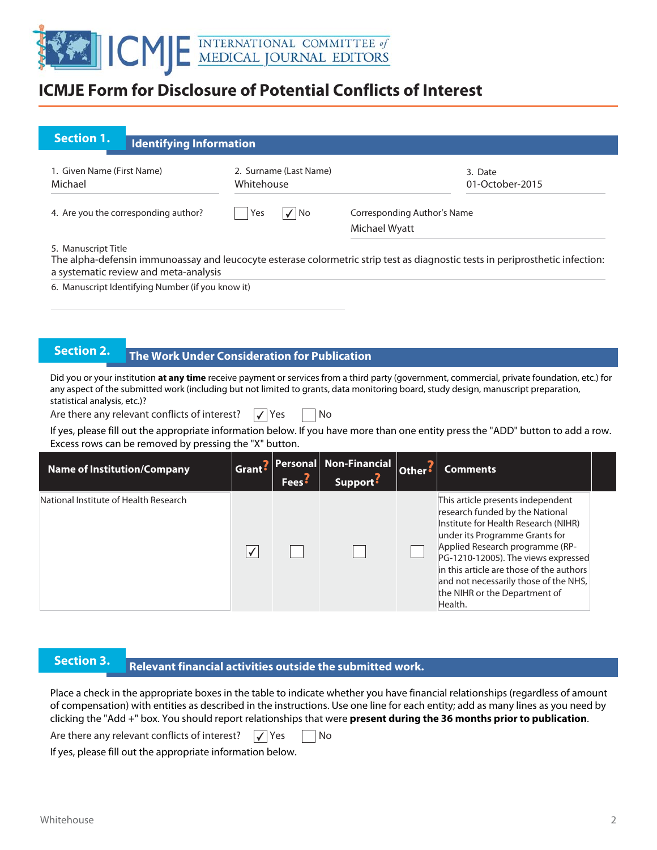

| <b>Section 1.</b>                     | <b>Identifying Information</b>       |            |                        |                                              |                            |  |  |
|---------------------------------------|--------------------------------------|------------|------------------------|----------------------------------------------|----------------------------|--|--|
| 1. Given Name (First Name)<br>Michael |                                      | Whitehouse | 2. Surname (Last Name) |                                              | 3. Date<br>01-October-2015 |  |  |
|                                       | 4. Are you the corresponding author? | Yes        | $\sqrt{ N_{0}}$        | Corresponding Author's Name<br>Michael Wyatt |                            |  |  |
| 5. Manuscript Title                   |                                      |            |                        |                                              |                            |  |  |

The alpha-defensin immunoassay and leucocyte esterase colormetric strip test as diagnostic tests in periprosthetic infection: a systematic review and meta-analysis

6. Manuscript Identifying Number (if you know it)

### **The Work Under Consideration for Publication**

Did you or your institution **at any time** receive payment or services from a third party (government, commercial, private foundation, etc.) for any aspect of the submitted work (including but not limited to grants, data monitoring board, study design, manuscript preparation, statistical analysis, etc.)?

Are there any relevant conflicts of interest?  $\sqrt{\ }$  Yes  $\Box$  No

If yes, please fill out the appropriate information below. If you have more than one entity press the "ADD" button to add a row. Excess rows can be removed by pressing the "X" button.

| <b>Name of Institution/Company</b>    | Grant? | Fees • | $\left\vert \mathsf{Personal}\right\vert$ Non-Financial $\left\vert \right\rangle$<br>Support <sup>5</sup> | Other <sup>:</sup> | <b>Comments</b>                                                                                                                                                                                                                                                                                                                                           |  |
|---------------------------------------|--------|--------|------------------------------------------------------------------------------------------------------------|--------------------|-----------------------------------------------------------------------------------------------------------------------------------------------------------------------------------------------------------------------------------------------------------------------------------------------------------------------------------------------------------|--|
| National Institute of Health Research |        |        |                                                                                                            |                    | This article presents independent<br>research funded by the National<br>Institute for Health Research (NIHR)<br>under its Programme Grants for<br>Applied Research programme (RP-<br>PG-1210-12005). The views expressed<br>in this article are those of the authors<br>and not necessarily those of the NHS,<br>the NIHR or the Department of<br>Health. |  |

## **Relevant financial activities outside the submitted work. Section 3. Relevant financial activities outset**

Place a check in the appropriate boxes in the table to indicate whether you have financial relationships (regardless of amount of compensation) with entities as described in the instructions. Use one line for each entity; add as many lines as you need by clicking the "Add +" box. You should report relationships that were **present during the 36 months prior to publication**.

Are there any relevant conflicts of interest?  $\sqrt{\phantom{a}}\sqrt{\phantom{a}}$  Yes  $\Box$  No

If yes, please fill out the appropriate information below.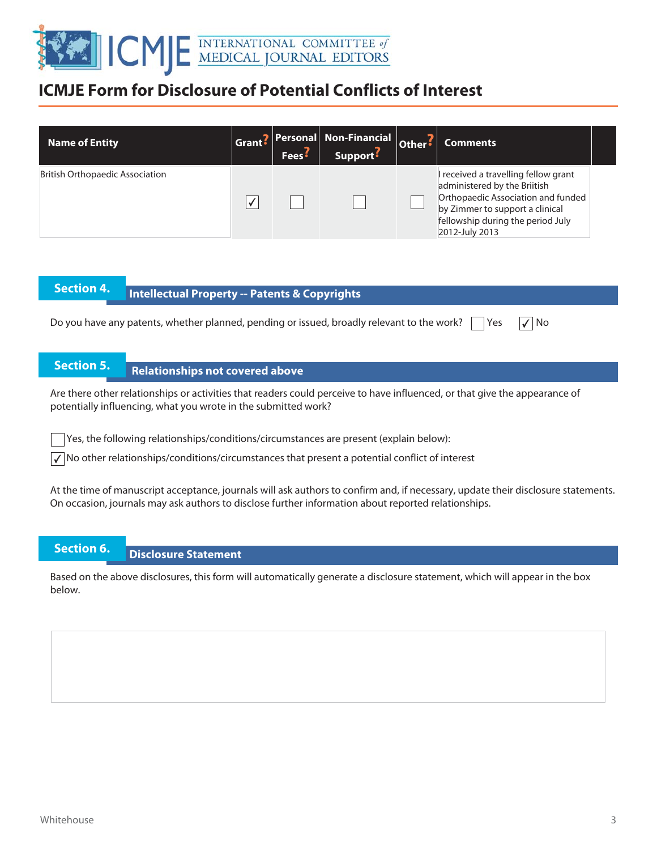

| <b>Name of Entity</b>                  | <b>Fees</b> | Grant? Personal Non-Financial<br>Support : | $ $ Other $\stackrel{\bullet}{\cdot}$ | <b>Comments</b>                                                                                                                                                                                      |
|----------------------------------------|-------------|--------------------------------------------|---------------------------------------|------------------------------------------------------------------------------------------------------------------------------------------------------------------------------------------------------|
| <b>British Orthopaedic Association</b> |             |                                            |                                       | I received a travelling fellow grant<br>administered by the Briitish<br>Orthopaedic Association and funded<br>by Zimmer to support a clinical<br>fellowship during the period July<br>2012-July 2013 |

### **Intellectual Property -- Patents & Copyrights**

Do you have any patents, whether planned, pending or issued, broadly relevant to the work?  $\Box$  Yes  $\Box$  No

## **Section 5.** Relationships not covered above

Are there other relationships or activities that readers could perceive to have influenced, or that give the appearance of potentially influencing, what you wrote in the submitted work?

Yes, the following relationships/conditions/circumstances are present (explain below):

 $\sqrt{\sqrt{N}}$  No other relationships/conditions/circumstances that present a potential conflict of interest

At the time of manuscript acceptance, journals will ask authors to confirm and, if necessary, update their disclosure statements. On occasion, journals may ask authors to disclose further information about reported relationships.

### **Section 6. Disclosure Statement**

Based on the above disclosures, this form will automatically generate a disclosure statement, which will appear in the box below.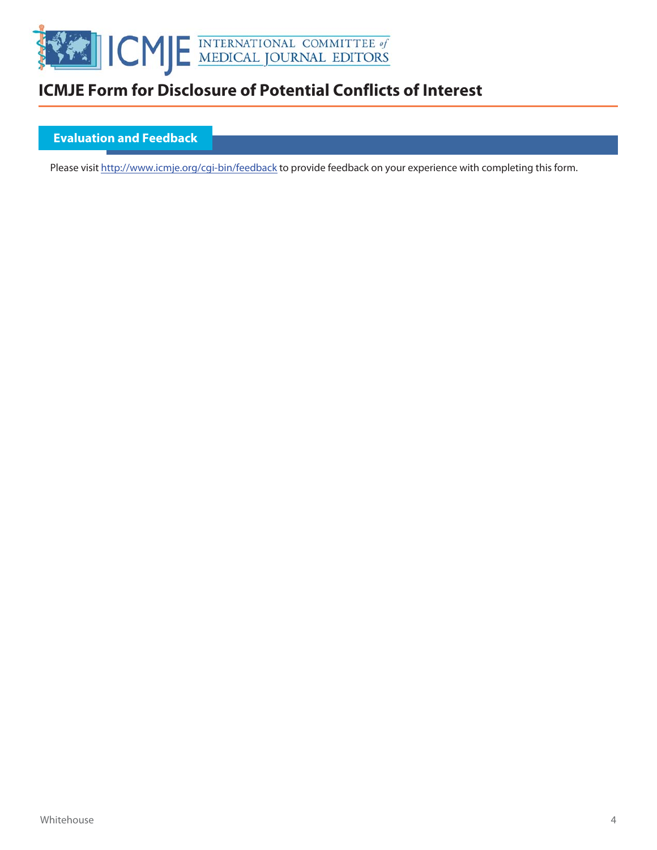

**Evaluation and Feedback**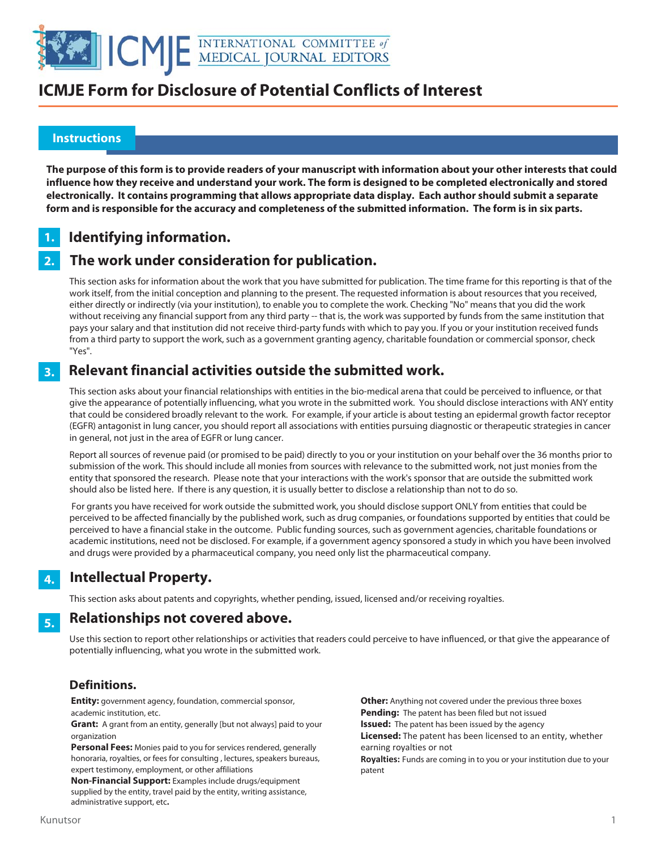

### **Instructions**

 

> **The purpose of this form is to provide readers of your manuscript with information about your other interests that could influence how they receive and understand your work. The form is designed to be completed electronically and stored electronically. It contains programming that allows appropriate data display. Each author should submit a separate form and is responsible for the accuracy and completeness of the submitted information. The form is in six parts.**

#### **Identifying information. 1.**

#### **The work under consideration for publication. 2.**

This section asks for information about the work that you have submitted for publication. The time frame for this reporting is that of the work itself, from the initial conception and planning to the present. The requested information is about resources that you received, either directly or indirectly (via your institution), to enable you to complete the work. Checking "No" means that you did the work without receiving any financial support from any third party -- that is, the work was supported by funds from the same institution that pays your salary and that institution did not receive third-party funds with which to pay you. If you or your institution received funds from a third party to support the work, such as a government granting agency, charitable foundation or commercial sponsor, check "Yes".

#### **Relevant financial activities outside the submitted work. 3.**

This section asks about your financial relationships with entities in the bio-medical arena that could be perceived to influence, or that give the appearance of potentially influencing, what you wrote in the submitted work. You should disclose interactions with ANY entity that could be considered broadly relevant to the work. For example, if your article is about testing an epidermal growth factor receptor (EGFR) antagonist in lung cancer, you should report all associations with entities pursuing diagnostic or therapeutic strategies in cancer in general, not just in the area of EGFR or lung cancer.

Report all sources of revenue paid (or promised to be paid) directly to you or your institution on your behalf over the 36 months prior to submission of the work. This should include all monies from sources with relevance to the submitted work, not just monies from the entity that sponsored the research. Please note that your interactions with the work's sponsor that are outside the submitted work should also be listed here. If there is any question, it is usually better to disclose a relationship than not to do so.

 For grants you have received for work outside the submitted work, you should disclose support ONLY from entities that could be perceived to be affected financially by the published work, such as drug companies, or foundations supported by entities that could be perceived to have a financial stake in the outcome. Public funding sources, such as government agencies, charitable foundations or academic institutions, need not be disclosed. For example, if a government agency sponsored a study in which you have been involved and drugs were provided by a pharmaceutical company, you need only list the pharmaceutical company.

#### **Intellectual Property. 4.**

This section asks about patents and copyrights, whether pending, issued, licensed and/or receiving royalties.

#### **Relationships not covered above. 5.**

Use this section to report other relationships or activities that readers could perceive to have influenced, or that give the appearance of potentially influencing, what you wrote in the submitted work.

### **Definitions.**

**Entity:** government agency, foundation, commercial sponsor, academic institution, etc.

**Grant:** A grant from an entity, generally [but not always] paid to your organization

**Personal Fees:** Monies paid to you for services rendered, generally honoraria, royalties, or fees for consulting , lectures, speakers bureaus, expert testimony, employment, or other affiliations

**Non-Financial Support:** Examples include drugs/equipment supplied by the entity, travel paid by the entity, writing assistance, administrative support, etc**.**

**Other:** Anything not covered under the previous three boxes **Pending:** The patent has been filed but not issued **Issued:** The patent has been issued by the agency **Licensed:** The patent has been licensed to an entity, whether earning royalties or not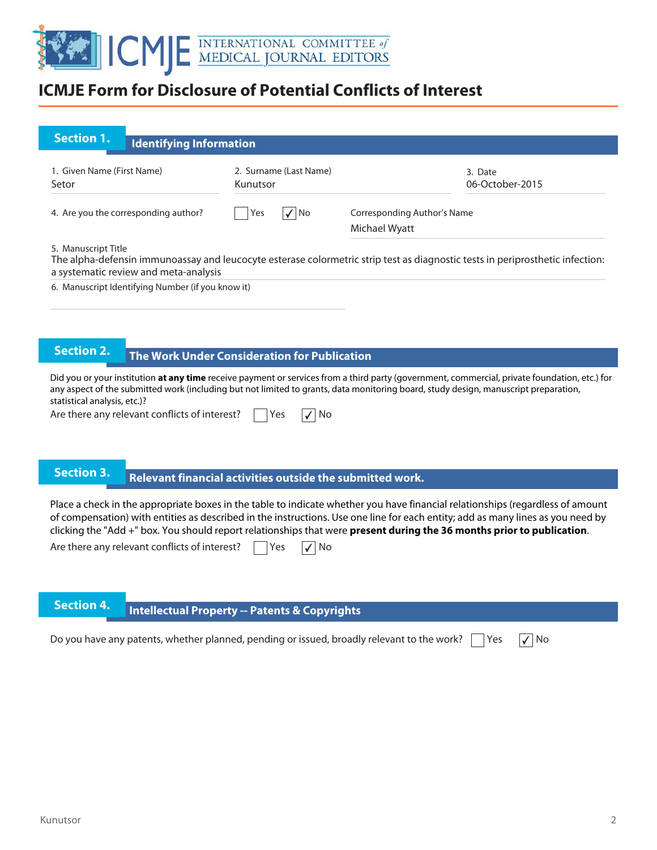

| <b>Section 1.</b>                                            | <b>Identifying Information</b>     |                                                                                                                               |
|--------------------------------------------------------------|------------------------------------|-------------------------------------------------------------------------------------------------------------------------------|
| 1. Given Name (First Name)<br>Setor                          | 2. Surname (Last Name)<br>Kunutsor | 3. Date<br>06-October-2015                                                                                                    |
| 4. Are you the corresponding author?                         | Yes<br>$\sqrt{ N_{0}}$             | Corresponding Author's Name<br>Michael Wyatt                                                                                  |
| 5. Manuscript Title<br>a systematic review and meta-analysis |                                    | The alpha-defensin immunoassay and leucocyte esterase colormetric strip test as diagnostic tests in periprosthetic infection: |
| 6. Manuscript Identifying Number (if you know it)            |                                    |                                                                                                                               |

## **The Work Under Consideration for Publication**

Did you or your institution **at any time** receive payment or services from a third party (government, commercial, private foundation, etc.) for any aspect of the submitted work (including but not limited to grants, data monitoring board, study design, manuscript preparation, statistical analysis, etc.)?

Are there any relevant conflicts of interest?  $\Box$  Yes

|  | ۰.<br>× |
|--|---------|
|--|---------|

# **Relevant financial activities outside the submitted work. Section 3. Relevant financial activities outset**

Place a check in the appropriate boxes in the table to indicate whether you have financial relationships (regardless of amount of compensation) with entities as described in the instructions. Use one line for each entity; add as many lines as you need by clicking the "Add +" box. You should report relationships that were **present during the 36 months prior to publication**.

Are there any relevant conflicts of interest?  $\Box$  Yes  $\Box$  No

## **Intellectual Property -- Patents & Copyrights**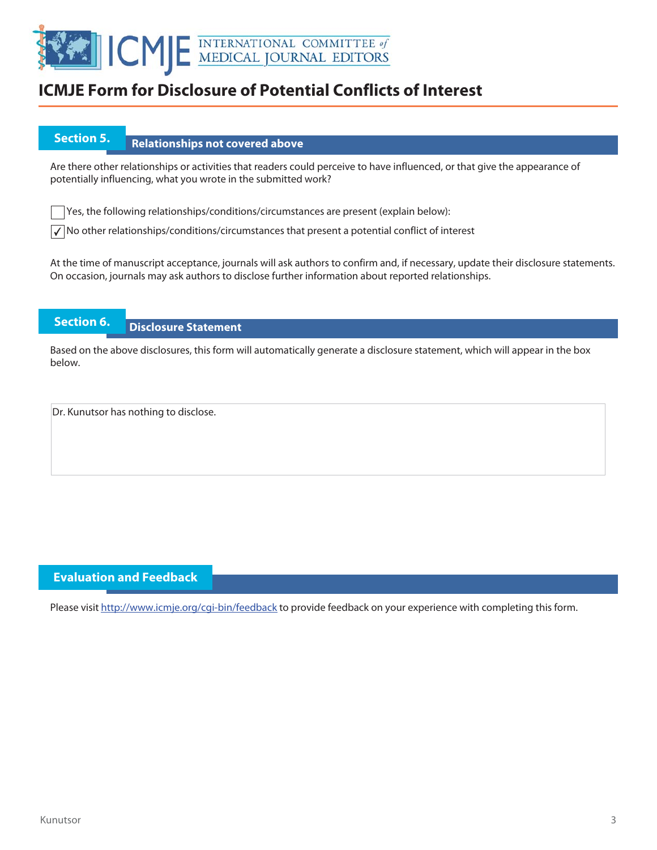

### **Section 5.** Relationships not covered above

Are there other relationships or activities that readers could perceive to have influenced, or that give the appearance of potentially influencing, what you wrote in the submitted work?

Yes, the following relationships/conditions/circumstances are present (explain below):

 $\sqrt{\ }$  No other relationships/conditions/circumstances that present a potential conflict of interest

At the time of manuscript acceptance, journals will ask authors to confirm and, if necessary, update their disclosure statements. On occasion, journals may ask authors to disclose further information about reported relationships.

### **Section 6. Disclosure Statement**

Based on the above disclosures, this form will automatically generate a disclosure statement, which will appear in the box below.

Dr. Kunutsor has nothing to disclose.

### **Evaluation and Feedback**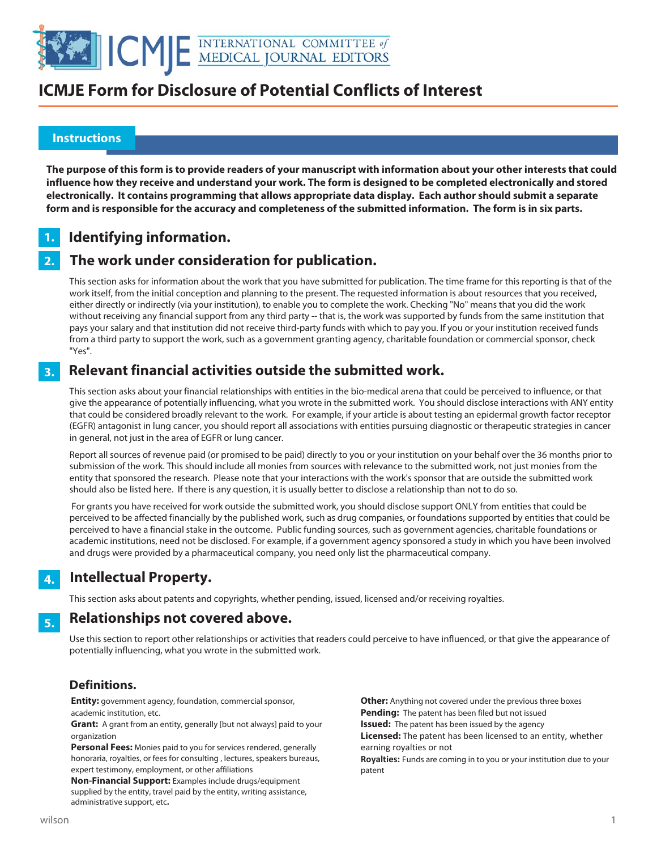

### **Instructions**

 

> **The purpose of this form is to provide readers of your manuscript with information about your other interests that could influence how they receive and understand your work. The form is designed to be completed electronically and stored electronically. It contains programming that allows appropriate data display. Each author should submit a separate form and is responsible for the accuracy and completeness of the submitted information. The form is in six parts.**

#### **Identifying information. 1.**

#### **The work under consideration for publication. 2.**

This section asks for information about the work that you have submitted for publication. The time frame for this reporting is that of the work itself, from the initial conception and planning to the present. The requested information is about resources that you received, either directly or indirectly (via your institution), to enable you to complete the work. Checking "No" means that you did the work without receiving any financial support from any third party -- that is, the work was supported by funds from the same institution that pays your salary and that institution did not receive third-party funds with which to pay you. If you or your institution received funds from a third party to support the work, such as a government granting agency, charitable foundation or commercial sponsor, check "Yes".

#### **Relevant financial activities outside the submitted work. 3.**

This section asks about your financial relationships with entities in the bio-medical arena that could be perceived to influence, or that give the appearance of potentially influencing, what you wrote in the submitted work. You should disclose interactions with ANY entity that could be considered broadly relevant to the work. For example, if your article is about testing an epidermal growth factor receptor (EGFR) antagonist in lung cancer, you should report all associations with entities pursuing diagnostic or therapeutic strategies in cancer in general, not just in the area of EGFR or lung cancer.

Report all sources of revenue paid (or promised to be paid) directly to you or your institution on your behalf over the 36 months prior to submission of the work. This should include all monies from sources with relevance to the submitted work, not just monies from the entity that sponsored the research. Please note that your interactions with the work's sponsor that are outside the submitted work should also be listed here. If there is any question, it is usually better to disclose a relationship than not to do so.

 For grants you have received for work outside the submitted work, you should disclose support ONLY from entities that could be perceived to be affected financially by the published work, such as drug companies, or foundations supported by entities that could be perceived to have a financial stake in the outcome. Public funding sources, such as government agencies, charitable foundations or academic institutions, need not be disclosed. For example, if a government agency sponsored a study in which you have been involved and drugs were provided by a pharmaceutical company, you need only list the pharmaceutical company.

#### **Intellectual Property. 4.**

This section asks about patents and copyrights, whether pending, issued, licensed and/or receiving royalties.

#### **Relationships not covered above. 5.**

Use this section to report other relationships or activities that readers could perceive to have influenced, or that give the appearance of potentially influencing, what you wrote in the submitted work.

### **Definitions.**

**Entity:** government agency, foundation, commercial sponsor, academic institution, etc.

**Grant:** A grant from an entity, generally [but not always] paid to your organization

**Personal Fees:** Monies paid to you for services rendered, generally honoraria, royalties, or fees for consulting , lectures, speakers bureaus, expert testimony, employment, or other affiliations

**Non-Financial Support:** Examples include drugs/equipment supplied by the entity, travel paid by the entity, writing assistance, administrative support, etc**.**

**Other:** Anything not covered under the previous three boxes **Pending:** The patent has been filed but not issued **Issued:** The patent has been issued by the agency **Licensed:** The patent has been licensed to an entity, whether earning royalties or not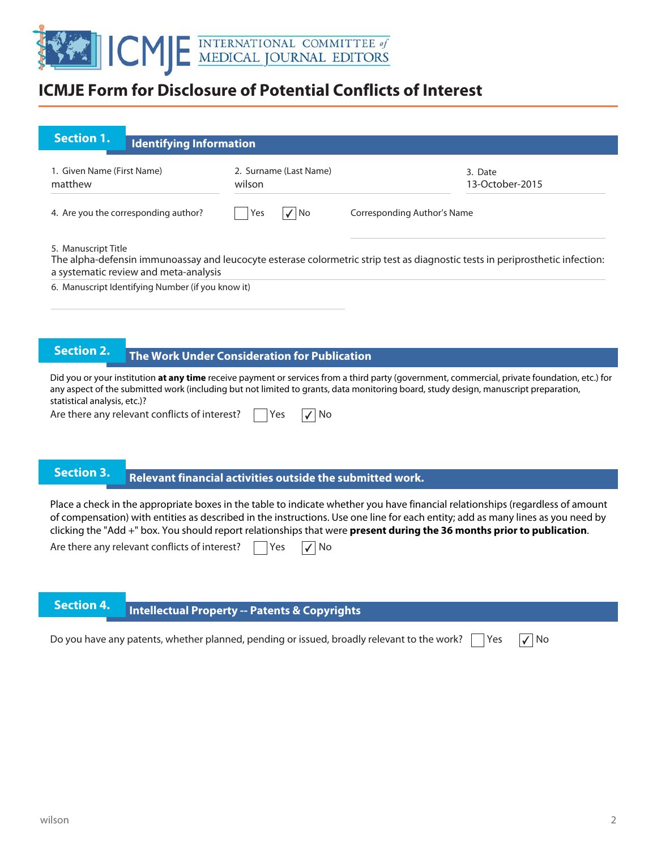

| <b>Section 1.</b>                     | <b>Identifying Information</b>       |        |                        |                             |                                                                                                                               |
|---------------------------------------|--------------------------------------|--------|------------------------|-----------------------------|-------------------------------------------------------------------------------------------------------------------------------|
| 1. Given Name (First Name)<br>matthew |                                      | wilson | 2. Surname (Last Name) |                             | 3. Date<br>13-October-2015                                                                                                    |
|                                       | 4. Are you the corresponding author? | Yes    | $\sqrt{ N_{0}}$        | Corresponding Author's Name |                                                                                                                               |
| 5. Manuscript Title                   |                                      |        |                        |                             | The alpha-defensin immunoassay and leucocyte esterase colormetric strip test as diagnostic tests in periprosthetic infection: |

a systematic review and meta-analysis

6. Manuscript Identifying Number (if you know it)

# **The Work Under Consideration for Publication**

Did you or your institution **at any time** receive payment or services from a third party (government, commercial, private foundation, etc.) for any aspect of the submitted work (including but not limited to grants, data monitoring board, study design, manuscript preparation, statistical analysis, etc.)?

Are there any relevant conflicts of interest?  $\Box$  Yes

|  | ۰.<br>× |
|--|---------|
|--|---------|

## **Relevant financial activities outside the submitted work. Section 3. Relevant financial activities outset**

Place a check in the appropriate boxes in the table to indicate whether you have financial relationships (regardless of amount of compensation) with entities as described in the instructions. Use one line for each entity; add as many lines as you need by clicking the "Add +" box. You should report relationships that were **present during the 36 months prior to publication**.

Are there any relevant conflicts of interest?  $\Box$  Yes  $\Box$  No

# **Intellectual Property -- Patents & Copyrights**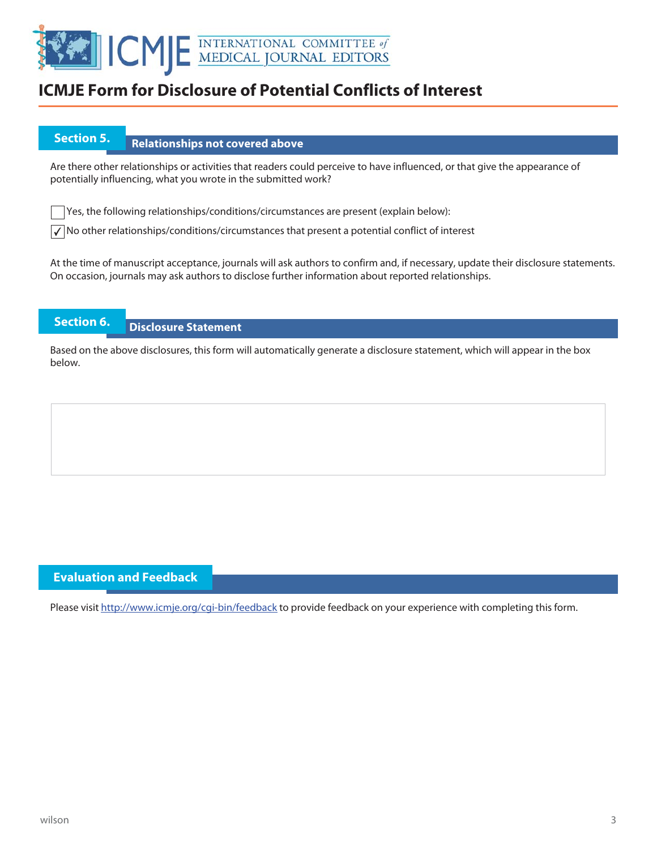

### **Section 5.** Relationships not covered above

Are there other relationships or activities that readers could perceive to have influenced, or that give the appearance of potentially influencing, what you wrote in the submitted work?

Yes, the following relationships/conditions/circumstances are present (explain below):

 $\sqrt{\ }$  No other relationships/conditions/circumstances that present a potential conflict of interest

At the time of manuscript acceptance, journals will ask authors to confirm and, if necessary, update their disclosure statements. On occasion, journals may ask authors to disclose further information about reported relationships.

### **Section 6. Disclosure Statement**

Based on the above disclosures, this form will automatically generate a disclosure statement, which will appear in the box below.

### **Evaluation and Feedback**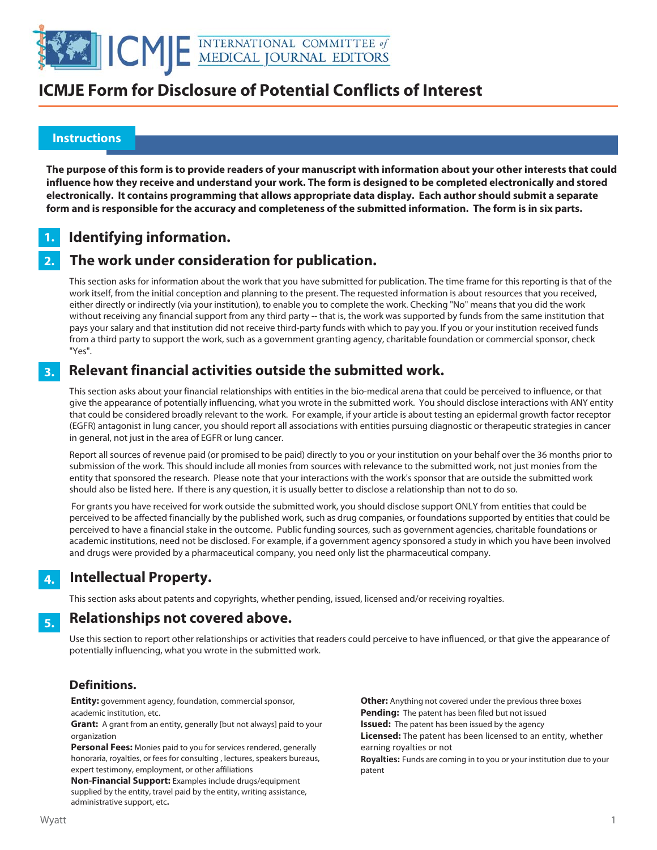

### **Instructions**

 

> **The purpose of this form is to provide readers of your manuscript with information about your other interests that could influence how they receive and understand your work. The form is designed to be completed electronically and stored electronically. It contains programming that allows appropriate data display. Each author should submit a separate form and is responsible for the accuracy and completeness of the submitted information. The form is in six parts.**

#### **Identifying information. 1.**

#### **The work under consideration for publication. 2.**

This section asks for information about the work that you have submitted for publication. The time frame for this reporting is that of the work itself, from the initial conception and planning to the present. The requested information is about resources that you received, either directly or indirectly (via your institution), to enable you to complete the work. Checking "No" means that you did the work without receiving any financial support from any third party -- that is, the work was supported by funds from the same institution that pays your salary and that institution did not receive third-party funds with which to pay you. If you or your institution received funds from a third party to support the work, such as a government granting agency, charitable foundation or commercial sponsor, check "Yes".

#### **Relevant financial activities outside the submitted work. 3.**

This section asks about your financial relationships with entities in the bio-medical arena that could be perceived to influence, or that give the appearance of potentially influencing, what you wrote in the submitted work. You should disclose interactions with ANY entity that could be considered broadly relevant to the work. For example, if your article is about testing an epidermal growth factor receptor (EGFR) antagonist in lung cancer, you should report all associations with entities pursuing diagnostic or therapeutic strategies in cancer in general, not just in the area of EGFR or lung cancer.

Report all sources of revenue paid (or promised to be paid) directly to you or your institution on your behalf over the 36 months prior to submission of the work. This should include all monies from sources with relevance to the submitted work, not just monies from the entity that sponsored the research. Please note that your interactions with the work's sponsor that are outside the submitted work should also be listed here. If there is any question, it is usually better to disclose a relationship than not to do so.

 For grants you have received for work outside the submitted work, you should disclose support ONLY from entities that could be perceived to be affected financially by the published work, such as drug companies, or foundations supported by entities that could be perceived to have a financial stake in the outcome. Public funding sources, such as government agencies, charitable foundations or academic institutions, need not be disclosed. For example, if a government agency sponsored a study in which you have been involved and drugs were provided by a pharmaceutical company, you need only list the pharmaceutical company.

#### **Intellectual Property. 4.**

This section asks about patents and copyrights, whether pending, issued, licensed and/or receiving royalties.

#### **Relationships not covered above. 5.**

Use this section to report other relationships or activities that readers could perceive to have influenced, or that give the appearance of potentially influencing, what you wrote in the submitted work.

### **Definitions.**

**Entity:** government agency, foundation, commercial sponsor, academic institution, etc.

**Grant:** A grant from an entity, generally [but not always] paid to your organization

**Personal Fees:** Monies paid to you for services rendered, generally honoraria, royalties, or fees for consulting , lectures, speakers bureaus, expert testimony, employment, or other affiliations

**Non-Financial Support:** Examples include drugs/equipment supplied by the entity, travel paid by the entity, writing assistance, administrative support, etc**.**

**Other:** Anything not covered under the previous three boxes **Pending:** The patent has been filed but not issued **Issued:** The patent has been issued by the agency **Licensed:** The patent has been licensed to an entity, whether earning royalties or not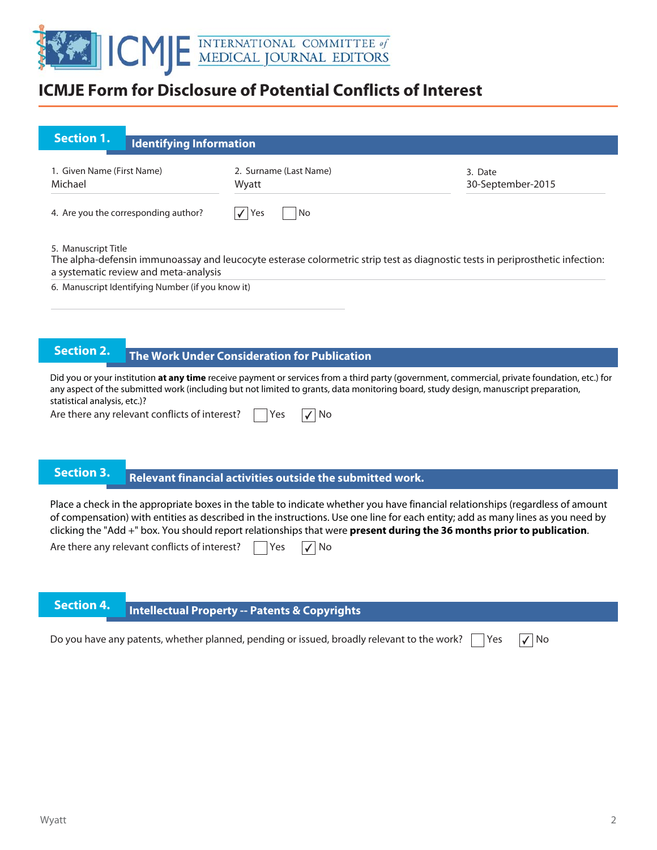

| <b>Section 1.</b>                     |  | <b>Identifying Information</b>  |                              |  |  |  |  |  |  |
|---------------------------------------|--|---------------------------------|------------------------------|--|--|--|--|--|--|
| 1. Given Name (First Name)<br>Michael |  | 2. Surname (Last Name)<br>Wyatt | 3. Date<br>30-September-2015 |  |  |  |  |  |  |
| 4. Are you the corresponding author?  |  | Yes<br><b>No</b>                |                              |  |  |  |  |  |  |

5. Manuscript Title

The alpha-defensin immunoassay and leucocyte esterase colormetric strip test as diagnostic tests in periprosthetic infection: a systematic review and meta-analysis

6. Manuscript Identifying Number (if you know it)

## **The Work Under Consideration for Publication**

Did you or your institution **at any time** receive payment or services from a third party (government, commercial, private foundation, etc.) for any aspect of the submitted work (including but not limited to grants, data monitoring board, study design, manuscript preparation, statistical analysis, etc.)?

Are there any relevant conflicts of interest?  $\Box$  Yes  $\Box$  No

|  | $\sim$ |  |
|--|--------|--|
|  |        |  |

## **Relevant financial activities outside the submitted work. Section 3. Relevant financial activities outset**

Place a check in the appropriate boxes in the table to indicate whether you have financial relationships (regardless of amount of compensation) with entities as described in the instructions. Use one line for each entity; add as many lines as you need by clicking the "Add +" box. You should report relationships that were **present during the 36 months prior to publication**.

Are there any relevant conflicts of interest?  $\Box$  Yes  $\Box$  No

## **Intellectual Property -- Patents & Copyrights**